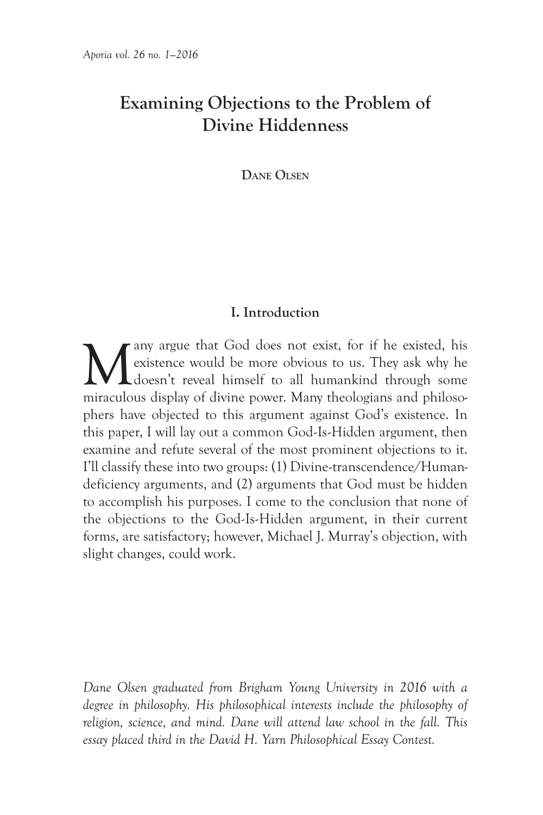# **Examining Objections to the Problem of Divine Hiddenness**

**Dane Olsen**

## **I. Introduction**

Many argue that God does not exist, for if he existed, his existence would be more obvious to us. They ask why he doesn't reveal himself to all humankind through some mixellow of divine power. Many theologians and philoson existence would be more obvious to us. They ask why he doesn't reveal himself to all humankind through some miraculous display of divine power. Many theologians and philosophers have objected to this argument against God's existence. In this paper, I will lay out a common God-Is-Hidden argument, then examine and refute several of the most prominent objections to it. I'll classify these into two groups: (1) Divine-transcendence/Humandeficiency arguments, and (2) arguments that God must be hidden to accomplish his purposes. I come to the conclusion that none of the objections to the God-Is-Hidden argument, in their current forms, are satisfactory; however, Michael J. Murray's objection, with slight changes, could work.

*Dane Olsen graduated from Brigham Young University in 2016 with a degree in philosophy. His philosophical interests include the philosophy of religion, science, and mind. Dane will attend law school in the fall. This essay placed third in the David H. Yarn Philosophical Essay Contest.*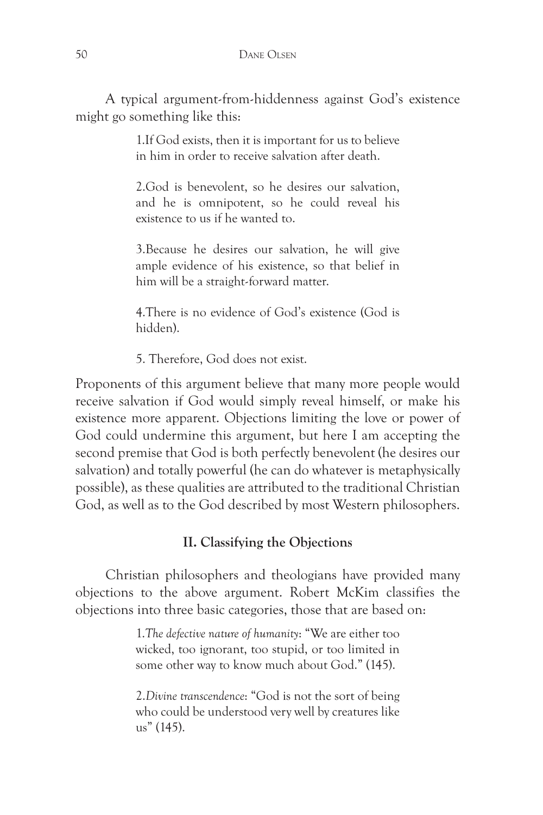A typical argument-from-hiddenness against God's existence might go something like this:

> 1.If God exists, then it is important for us to believe in him in order to receive salvation after death.

> 2.God is benevolent, so he desires our salvation, and he is omnipotent, so he could reveal his existence to us if he wanted to.

> 3.Because he desires our salvation, he will give ample evidence of his existence, so that belief in him will be a straight-forward matter.

> 4.There is no evidence of God's existence (God is hidden).

5. Therefore, God does not exist.

Proponents of this argument believe that many more people would receive salvation if God would simply reveal himself, or make his existence more apparent. Objections limiting the love or power of God could undermine this argument, but here I am accepting the second premise that God is both perfectly benevolent (he desires our salvation) and totally powerful (he can do whatever is metaphysically possible), as these qualities are attributed to the traditional Christian God, as well as to the God described by most Western philosophers.

## **II. Classifying the Objections**

Christian philosophers and theologians have provided many objections to the above argument. Robert McKim classifies the objections into three basic categories, those that are based on:

> 1.*The defective nature of humanity*: "We are either too wicked, too ignorant, too stupid, or too limited in some other way to know much about God." (145).

> 2.*Divine transcendence*: "God is not the sort of being who could be understood very well by creatures like us" (145).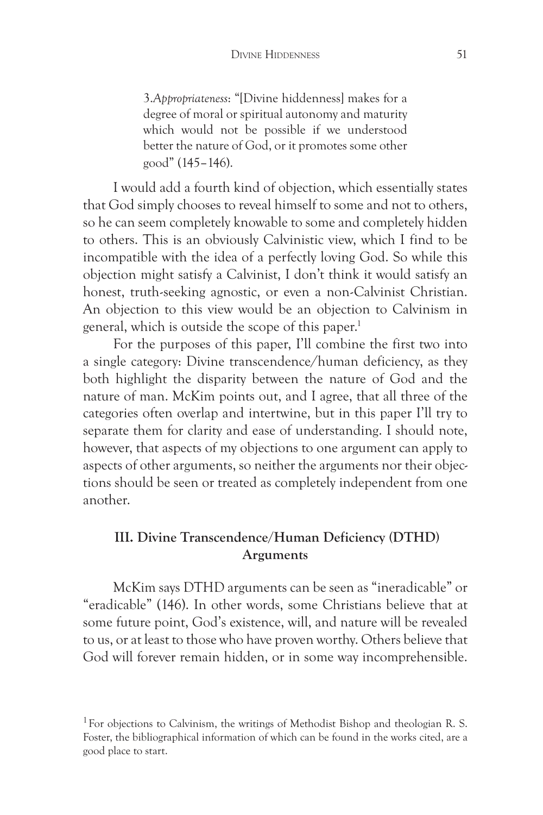3.*Appropriateness*: "[Divine hiddenness] makes for a degree of moral or spiritual autonomy and maturity which would not be possible if we understood better the nature of God, or it promotes some other good" (145–146).

I would add a fourth kind of objection, which essentially states that God simply chooses to reveal himself to some and not to others, so he can seem completely knowable to some and completely hidden to others. This is an obviously Calvinistic view, which I find to be incompatible with the idea of a perfectly loving God. So while this objection might satisfy a Calvinist, I don't think it would satisfy an honest, truth-seeking agnostic, or even a non-Calvinist Christian. An objection to this view would be an objection to Calvinism in general, which is outside the scope of this paper.<sup>1</sup>

For the purposes of this paper, I'll combine the first two into a single category: Divine transcendence/human deficiency, as they both highlight the disparity between the nature of God and the nature of man. McKim points out, and I agree, that all three of the categories often overlap and intertwine, but in this paper I'll try to separate them for clarity and ease of understanding. I should note, however, that aspects of my objections to one argument can apply to aspects of other arguments, so neither the arguments nor their objections should be seen or treated as completely independent from one another.

## **III. Divine Transcendence/Human Deficiency (DTHD) Arguments**

McKim says DTHD arguments can be seen as "ineradicable" or "eradicable" (146). In other words, some Christians believe that at some future point, God's existence, will, and nature will be revealed to us, or at least to those who have proven worthy. Others believe that God will forever remain hidden, or in some way incomprehensible.

<sup>&</sup>lt;sup>1</sup> For objections to Calvinism, the writings of Methodist Bishop and theologian R. S. Foster, the bibliographical information of which can be found in the works cited, are a good place to start.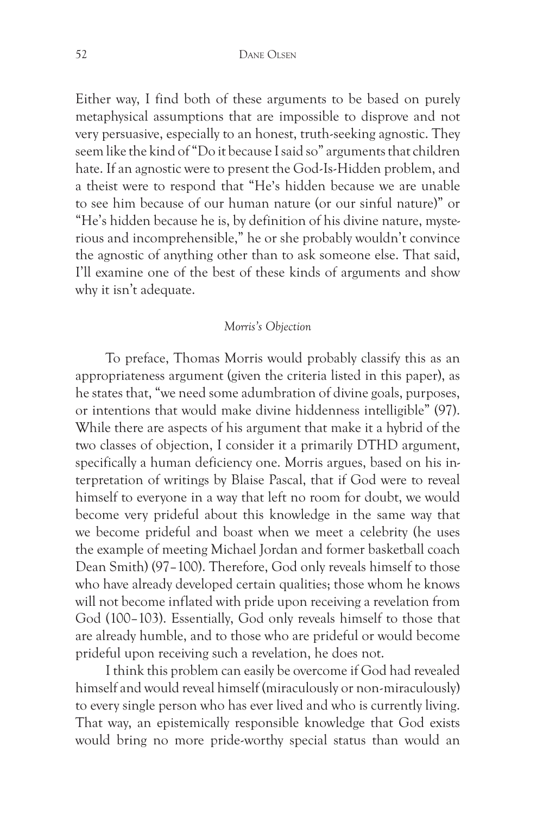Either way, I find both of these arguments to be based on purely metaphysical assumptions that are impossible to disprove and not very persuasive, especially to an honest, truth-seeking agnostic. They seem like the kind of "Do it because I said so" arguments that children hate. If an agnostic were to present the God-Is-Hidden problem, and a theist were to respond that "He's hidden because we are unable to see him because of our human nature (or our sinful nature)" or "He's hidden because he is, by definition of his divine nature, mysterious and incomprehensible," he or she probably wouldn't convince the agnostic of anything other than to ask someone else. That said, I'll examine one of the best of these kinds of arguments and show why it isn't adequate.

#### *Morris's Objection*

To preface, Thomas Morris would probably classify this as an appropriateness argument (given the criteria listed in this paper), as he states that, "we need some adumbration of divine goals, purposes, or intentions that would make divine hiddenness intelligible" (97). While there are aspects of his argument that make it a hybrid of the two classes of objection, I consider it a primarily DTHD argument, specifically a human deficiency one. Morris argues, based on his interpretation of writings by Blaise Pascal, that if God were to reveal himself to everyone in a way that left no room for doubt, we would become very prideful about this knowledge in the same way that we become prideful and boast when we meet a celebrity (he uses the example of meeting Michael Jordan and former basketball coach Dean Smith) (97–100). Therefore, God only reveals himself to those who have already developed certain qualities; those whom he knows will not become inflated with pride upon receiving a revelation from God (100–103). Essentially, God only reveals himself to those that are already humble, and to those who are prideful or would become prideful upon receiving such a revelation, he does not.

I think this problem can easily be overcome if God had revealed himself and would reveal himself (miraculously or non-miraculously) to every single person who has ever lived and who is currently living. That way, an epistemically responsible knowledge that God exists would bring no more pride-worthy special status than would an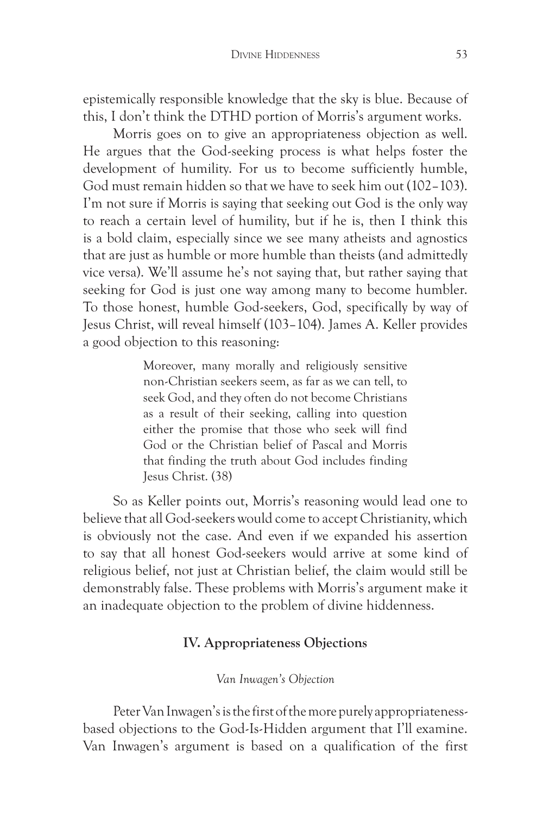epistemically responsible knowledge that the sky is blue. Because of this, I don't think the DTHD portion of Morris's argument works.

Morris goes on to give an appropriateness objection as well. He argues that the God-seeking process is what helps foster the development of humility. For us to become sufficiently humble, God must remain hidden so that we have to seek him out (102–103). I'm not sure if Morris is saying that seeking out God is the only way to reach a certain level of humility, but if he is, then I think this is a bold claim, especially since we see many atheists and agnostics that are just as humble or more humble than theists (and admittedly vice versa). We'll assume he's not saying that, but rather saying that seeking for God is just one way among many to become humbler. To those honest, humble God-seekers, God, specifically by way of Jesus Christ, will reveal himself (103–104). James A. Keller provides a good objection to this reasoning:

> Moreover, many morally and religiously sensitive non-Christian seekers seem, as far as we can tell, to seek God, and they often do not become Christians as a result of their seeking, calling into question either the promise that those who seek will find God or the Christian belief of Pascal and Morris that finding the truth about God includes finding Jesus Christ. (38)

So as Keller points out, Morris's reasoning would lead one to believe that all God-seekers would come to accept Christianity, which is obviously not the case. And even if we expanded his assertion to say that all honest God-seekers would arrive at some kind of religious belief, not just at Christian belief, the claim would still be demonstrably false. These problems with Morris's argument make it an inadequate objection to the problem of divine hiddenness.

### **IV. Appropriateness Objections**

#### *Van Inwagen's Objection*

Peter Van Inwagen's is the first of the more purely appropriatenessbased objections to the God-Is-Hidden argument that I'll examine. Van Inwagen's argument is based on a qualification of the first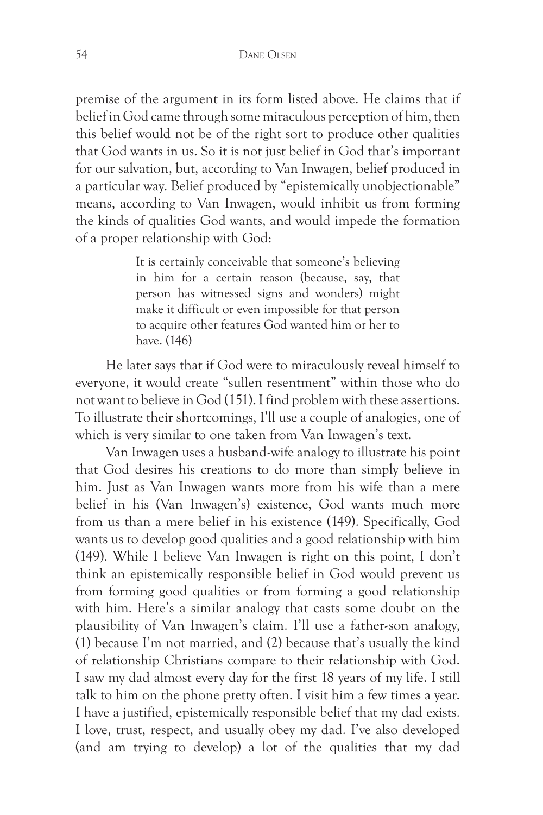premise of the argument in its form listed above. He claims that if belief in God came through some miraculous perception of him, then this belief would not be of the right sort to produce other qualities that God wants in us. So it is not just belief in God that's important for our salvation, but, according to Van Inwagen, belief produced in a particular way. Belief produced by "epistemically unobjectionable" means, according to Van Inwagen, would inhibit us from forming the kinds of qualities God wants, and would impede the formation of a proper relationship with God:

> It is certainly conceivable that someone's believing in him for a certain reason (because, say, that person has witnessed signs and wonders) might make it difficult or even impossible for that person to acquire other features God wanted him or her to have. (146)

He later says that if God were to miraculously reveal himself to everyone, it would create "sullen resentment" within those who do not want to believe in God (151). I find problem with these assertions. To illustrate their shortcomings, I'll use a couple of analogies, one of which is very similar to one taken from Van Inwagen's text.

Van Inwagen uses a husband-wife analogy to illustrate his point that God desires his creations to do more than simply believe in him. Just as Van Inwagen wants more from his wife than a mere belief in his (Van Inwagen's) existence, God wants much more from us than a mere belief in his existence (149). Specifically, God wants us to develop good qualities and a good relationship with him (149). While I believe Van Inwagen is right on this point, I don't think an epistemically responsible belief in God would prevent us from forming good qualities or from forming a good relationship with him. Here's a similar analogy that casts some doubt on the plausibility of Van Inwagen's claim. I'll use a father-son analogy, (1) because I'm not married, and (2) because that's usually the kind of relationship Christians compare to their relationship with God. I saw my dad almost every day for the first 18 years of my life. I still talk to him on the phone pretty often. I visit him a few times a year. I have a justified, epistemically responsible belief that my dad exists. I love, trust, respect, and usually obey my dad. I've also developed (and am trying to develop) a lot of the qualities that my dad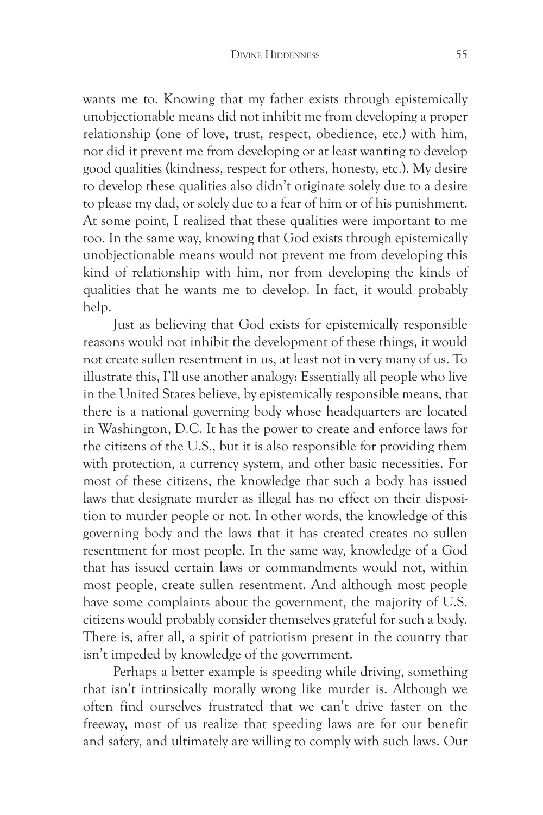wants me to. Knowing that my father exists through epistemically unobjectionable means did not inhibit me from developing a proper relationship (one of love, trust, respect, obedience, etc.) with him, nor did it prevent me from developing or at least wanting to develop good qualities (kindness, respect for others, honesty, etc.). My desire to develop these qualities also didn't originate solely due to a desire to please my dad, or solely due to a fear of him or of his punishment. At some point, I realized that these qualities were important to me too. In the same way, knowing that God exists through epistemically unobjectionable means would not prevent me from developing this kind of relationship with him, nor from developing the kinds of qualities that he wants me to develop. In fact, it would probably help.

Just as believing that God exists for epistemically responsible reasons would not inhibit the development of these things, it would not create sullen resentment in us, at least not in very many of us. To illustrate this, I'll use another analogy: Essentially all people who live in the United States believe, by epistemically responsible means, that there is a national governing body whose headquarters are located in Washington, D.C. It has the power to create and enforce laws for the citizens of the U.S., but it is also responsible for providing them with protection, a currency system, and other basic necessities. For most of these citizens, the knowledge that such a body has issued laws that designate murder as illegal has no effect on their disposition to murder people or not. In other words, the knowledge of this governing body and the laws that it has created creates no sullen resentment for most people. In the same way, knowledge of a God that has issued certain laws or commandments would not, within most people, create sullen resentment. And although most people have some complaints about the government, the majority of U.S. citizens would probably consider themselves grateful for such a body. There is, after all, a spirit of patriotism present in the country that isn't impeded by knowledge of the government.

Perhaps a better example is speeding while driving, something that isn't intrinsically morally wrong like murder is. Although we often find ourselves frustrated that we can't drive faster on the freeway, most of us realize that speeding laws are for our benefit and safety, and ultimately are willing to comply with such laws. Our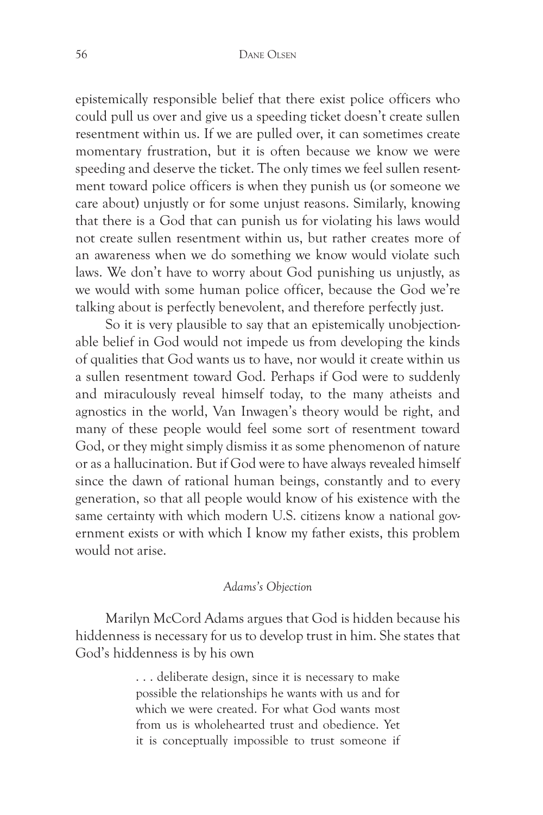epistemically responsible belief that there exist police officers who could pull us over and give us a speeding ticket doesn't create sullen resentment within us. If we are pulled over, it can sometimes create momentary frustration, but it is often because we know we were speeding and deserve the ticket. The only times we feel sullen resentment toward police officers is when they punish us (or someone we care about) unjustly or for some unjust reasons. Similarly, knowing that there is a God that can punish us for violating his laws would not create sullen resentment within us, but rather creates more of an awareness when we do something we know would violate such laws. We don't have to worry about God punishing us unjustly, as we would with some human police officer, because the God we're talking about is perfectly benevolent, and therefore perfectly just.

So it is very plausible to say that an epistemically unobjectionable belief in God would not impede us from developing the kinds of qualities that God wants us to have, nor would it create within us a sullen resentment toward God. Perhaps if God were to suddenly and miraculously reveal himself today, to the many atheists and agnostics in the world, Van Inwagen's theory would be right, and many of these people would feel some sort of resentment toward God, or they might simply dismiss it as some phenomenon of nature or as a hallucination. But if God were to have always revealed himself since the dawn of rational human beings, constantly and to every generation, so that all people would know of his existence with the same certainty with which modern U.S. citizens know a national government exists or with which I know my father exists, this problem would not arise.

#### *Adams's Objection*

Marilyn McCord Adams argues that God is hidden because his hiddenness is necessary for us to develop trust in him. She states that God's hiddenness is by his own

> . . . deliberate design, since it is necessary to make possible the relationships he wants with us and for which we were created. For what God wants most from us is wholehearted trust and obedience. Yet it is conceptually impossible to trust someone if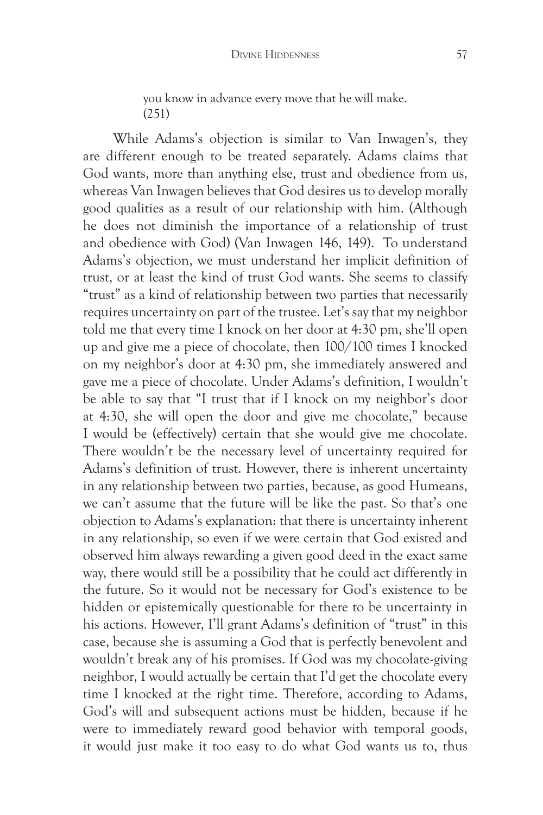you know in advance every move that he will make. (251)

While Adams's objection is similar to Van Inwagen's, they are different enough to be treated separately. Adams claims that God wants, more than anything else, trust and obedience from us, whereas Van Inwagen believes that God desires us to develop morally good qualities as a result of our relationship with him. (Although he does not diminish the importance of a relationship of trust and obedience with God) (Van Inwagen 146, 149). To understand Adams's objection, we must understand her implicit definition of trust, or at least the kind of trust God wants. She seems to classify "trust" as a kind of relationship between two parties that necessarily requires uncertainty on part of the trustee. Let's say that my neighbor told me that every time I knock on her door at 4:30 pm, she'll open up and give me a piece of chocolate, then 100/100 times I knocked on my neighbor's door at 4:30 pm, she immediately answered and gave me a piece of chocolate. Under Adams's definition, I wouldn't be able to say that "I trust that if I knock on my neighbor's door at 4:30, she will open the door and give me chocolate," because I would be (effectively) certain that she would give me chocolate. There wouldn't be the necessary level of uncertainty required for Adams's definition of trust. However, there is inherent uncertainty in any relationship between two parties, because, as good Humeans, we can't assume that the future will be like the past. So that's one objection to Adams's explanation: that there is uncertainty inherent in any relationship, so even if we were certain that God existed and observed him always rewarding a given good deed in the exact same way, there would still be a possibility that he could act differently in the future. So it would not be necessary for God's existence to be hidden or epistemically questionable for there to be uncertainty in his actions. However, I'll grant Adams's definition of "trust" in this case, because she is assuming a God that is perfectly benevolent and wouldn't break any of his promises. If God was my chocolate-giving neighbor, I would actually be certain that I'd get the chocolate every time I knocked at the right time. Therefore, according to Adams, God's will and subsequent actions must be hidden, because if he were to immediately reward good behavior with temporal goods, it would just make it too easy to do what God wants us to, thus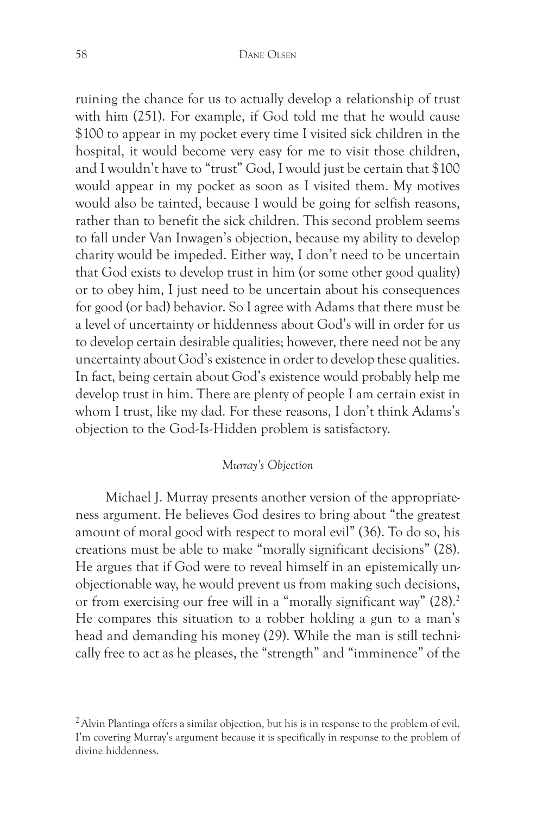ruining the chance for us to actually develop a relationship of trust with him (251). For example, if God told me that he would cause \$100 to appear in my pocket every time I visited sick children in the hospital, it would become very easy for me to visit those children, and I wouldn't have to "trust" God, I would just be certain that \$100 would appear in my pocket as soon as I visited them. My motives would also be tainted, because I would be going for selfish reasons, rather than to benefit the sick children. This second problem seems to fall under Van Inwagen's objection, because my ability to develop charity would be impeded. Either way, I don't need to be uncertain that God exists to develop trust in him (or some other good quality) or to obey him, I just need to be uncertain about his consequences for good (or bad) behavior. So I agree with Adams that there must be a level of uncertainty or hiddenness about God's will in order for us to develop certain desirable qualities; however, there need not be any uncertainty about God's existence in order to develop these qualities. In fact, being certain about God's existence would probably help me develop trust in him. There are plenty of people I am certain exist in whom I trust, like my dad. For these reasons, I don't think Adams's objection to the God-Is-Hidden problem is satisfactory.

#### *Murray's Objection*

Michael J. Murray presents another version of the appropriateness argument. He believes God desires to bring about "the greatest amount of moral good with respect to moral evil" (36). To do so, his creations must be able to make "morally significant decisions" (28). He argues that if God were to reveal himself in an epistemically unobjectionable way, he would prevent us from making such decisions, or from exercising our free will in a "morally significant way"  $(28).^{2}$ He compares this situation to a robber holding a gun to a man's head and demanding his money (29). While the man is still technically free to act as he pleases, the "strength" and "imminence" of the

<sup>&</sup>lt;sup>2</sup> Alvin Plantinga offers a similar objection, but his is in response to the problem of evil. I'm covering Murray's argument because it is specifically in response to the problem of divine hiddenness.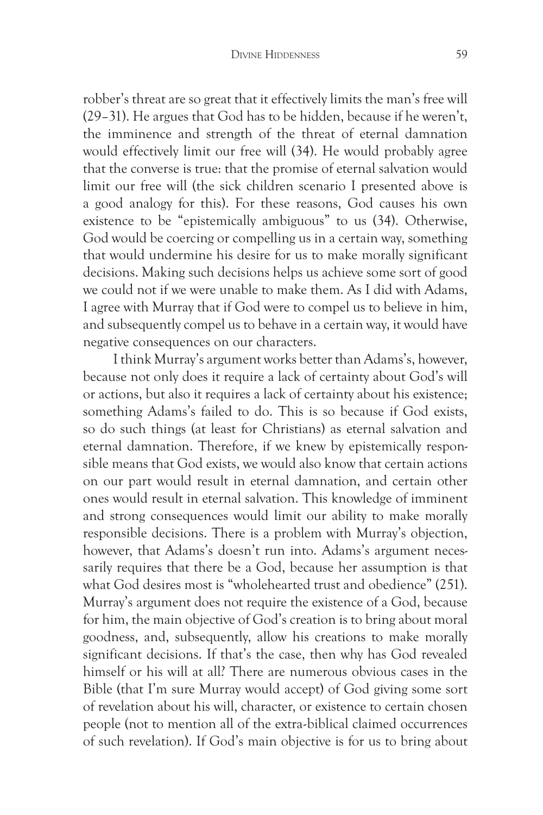robber's threat are so great that it effectively limits the man's free will (29–31). He argues that God has to be hidden, because if he weren't, the imminence and strength of the threat of eternal damnation would effectively limit our free will (34). He would probably agree that the converse is true: that the promise of eternal salvation would limit our free will (the sick children scenario I presented above is a good analogy for this). For these reasons, God causes his own existence to be "epistemically ambiguous" to us (34). Otherwise, God would be coercing or compelling us in a certain way, something that would undermine his desire for us to make morally significant decisions. Making such decisions helps us achieve some sort of good we could not if we were unable to make them. As I did with Adams, I agree with Murray that if God were to compel us to believe in him, and subsequently compel us to behave in a certain way, it would have negative consequences on our characters.

I think Murray's argument works better than Adams's, however, because not only does it require a lack of certainty about God's will or actions, but also it requires a lack of certainty about his existence; something Adams's failed to do. This is so because if God exists, so do such things (at least for Christians) as eternal salvation and eternal damnation. Therefore, if we knew by epistemically responsible means that God exists, we would also know that certain actions on our part would result in eternal damnation, and certain other ones would result in eternal salvation. This knowledge of imminent and strong consequences would limit our ability to make morally responsible decisions. There is a problem with Murray's objection, however, that Adams's doesn't run into. Adams's argument necessarily requires that there be a God, because her assumption is that what God desires most is "wholehearted trust and obedience" (251). Murray's argument does not require the existence of a God, because for him, the main objective of God's creation is to bring about moral goodness, and, subsequently, allow his creations to make morally significant decisions. If that's the case, then why has God revealed himself or his will at all? There are numerous obvious cases in the Bible (that I'm sure Murray would accept) of God giving some sort of revelation about his will, character, or existence to certain chosen people (not to mention all of the extra-biblical claimed occurrences of such revelation). If God's main objective is for us to bring about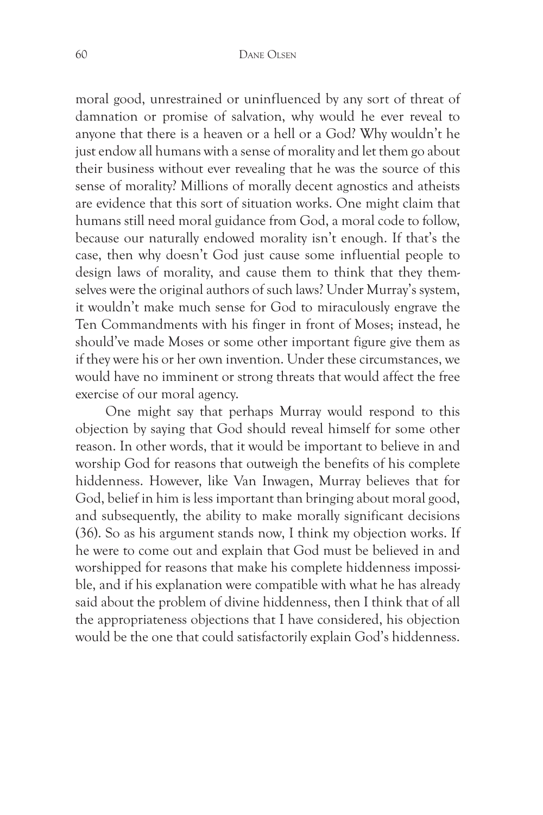moral good, unrestrained or uninfluenced by any sort of threat of damnation or promise of salvation, why would he ever reveal to anyone that there is a heaven or a hell or a God? Why wouldn't he just endow all humans with a sense of morality and let them go about their business without ever revealing that he was the source of this sense of morality? Millions of morally decent agnostics and atheists are evidence that this sort of situation works. One might claim that humans still need moral guidance from God, a moral code to follow, because our naturally endowed morality isn't enough. If that's the case, then why doesn't God just cause some influential people to design laws of morality, and cause them to think that they themselves were the original authors of such laws? Under Murray's system, it wouldn't make much sense for God to miraculously engrave the Ten Commandments with his finger in front of Moses; instead, he should've made Moses or some other important figure give them as if they were his or her own invention. Under these circumstances, we would have no imminent or strong threats that would affect the free exercise of our moral agency.

One might say that perhaps Murray would respond to this objection by saying that God should reveal himself for some other reason. In other words, that it would be important to believe in and worship God for reasons that outweigh the benefits of his complete hiddenness. However, like Van Inwagen, Murray believes that for God, belief in him is less important than bringing about moral good, and subsequently, the ability to make morally significant decisions (36). So as his argument stands now, I think my objection works. If he were to come out and explain that God must be believed in and worshipped for reasons that make his complete hiddenness impossible, and if his explanation were compatible with what he has already said about the problem of divine hiddenness, then I think that of all the appropriateness objections that I have considered, his objection would be the one that could satisfactorily explain God's hiddenness.